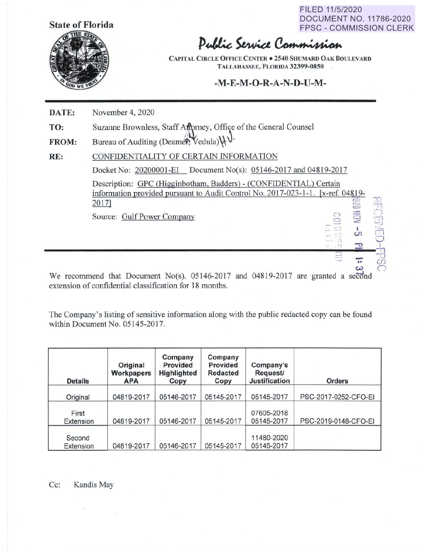**State of Florida** 

FILED 11/5/2020 DOCUMENT NO. 11786-2020 FPSC - COMMISSION CLERK

 $\bm{\omega}$ 

*r-,* 

Public Service Commission

*CAP* IT **AL CIRCLE OFFICE CENTER** • **2540 SHUMARD OAK BOULEVARD TALLAHASSEE, FLORIDA 32399-0850** 

## **-M-E-M-O-R-A-N-D-U-M-**

| DATE:        | November 4, 2020                                                                                                                                              |  |  |  |  |
|--------------|---------------------------------------------------------------------------------------------------------------------------------------------------------------|--|--|--|--|
| TO:          | Suzanne Brownless, Staff Attorney, Office of the General Counsel                                                                                              |  |  |  |  |
| <b>FROM:</b> | Bureau of Auditing (Deamer, Vedula) \\versus                                                                                                                  |  |  |  |  |
| RE:          | CONFIDENTIALITY OF CERTAIN INFORMATION                                                                                                                        |  |  |  |  |
|              | Docket No: 20200001-EI Document No(s): 05146-2017 and 04819-2017                                                                                              |  |  |  |  |
|              | Description: GPC (Higginbotham, Badders) - (CONFIDENTIAL) Certain<br>information provided pursuant to Audit Control No. 2017-023-1-1. [x-ref. 04819-<br>2017] |  |  |  |  |
|              | <b>RECEIVED</b><br><b>AOH</b><br>Source: Gulf Power Company<br>CT.<br>고                                                                                       |  |  |  |  |
|              | ಐ<br>envis                                                                                                                                                    |  |  |  |  |

We recommend that Document No(s).  $0.05146-2017$  and  $0.04819-2017$  are granted a second extension of confidential classification for 18 months.

The Company's listing of sensitive information along with the public redacted copy can be found within Document No. 05145-2017.

| <b>Details</b>      | Original<br>Workpapers<br><b>APA</b> | Company<br><b>Provided</b><br>Highlighted<br>Copy | Company<br><b>Provided</b><br><b>Redacted</b><br>Copy | Company's<br><b>Request/</b><br><b>Justification</b> | Orders               |
|---------------------|--------------------------------------|---------------------------------------------------|-------------------------------------------------------|------------------------------------------------------|----------------------|
| Original            | 04819-2017                           | 05146-2017                                        | 05145-2017                                            | 05145-2017                                           | PSC-2017-0252-CFO-EI |
| First<br>Extension  | 04819-2017                           | 05146-2017                                        | 05145-2017                                            | 07605-2018<br>05145-2017                             | PSC-2019-0148-CFO-EI |
| Second<br>Extension | 04819-2017                           | 05146-2017                                        | 05145-2017                                            | 11480-2020<br>05145-2017                             |                      |

 $\overline{\mathcal{L}}$